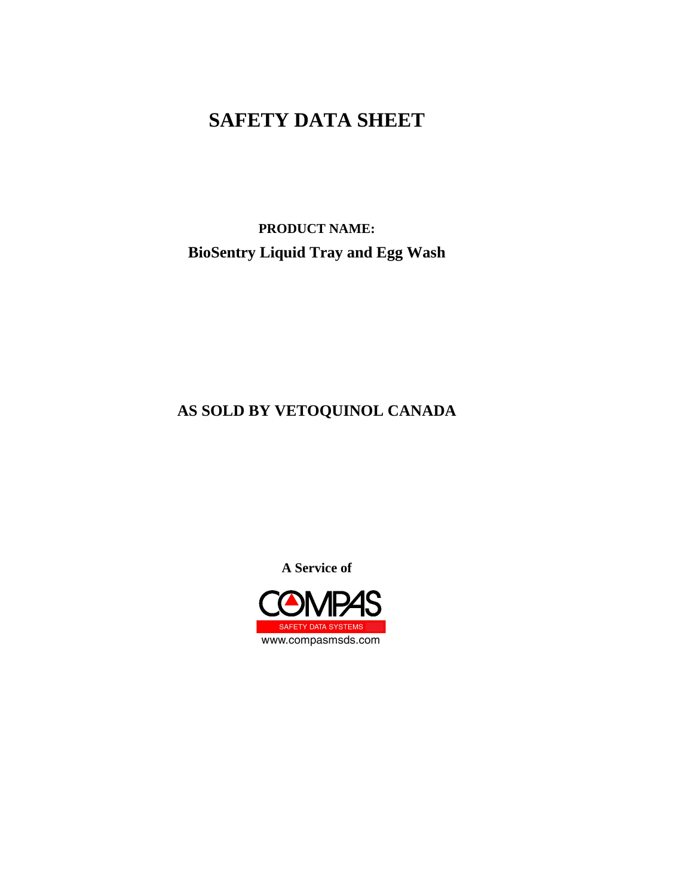**PRODUCT NAME: BioSentry Liquid Tray and Egg Wash**

## **AS SOLD BY VETOQUINOL CANADA**

**A Service of**

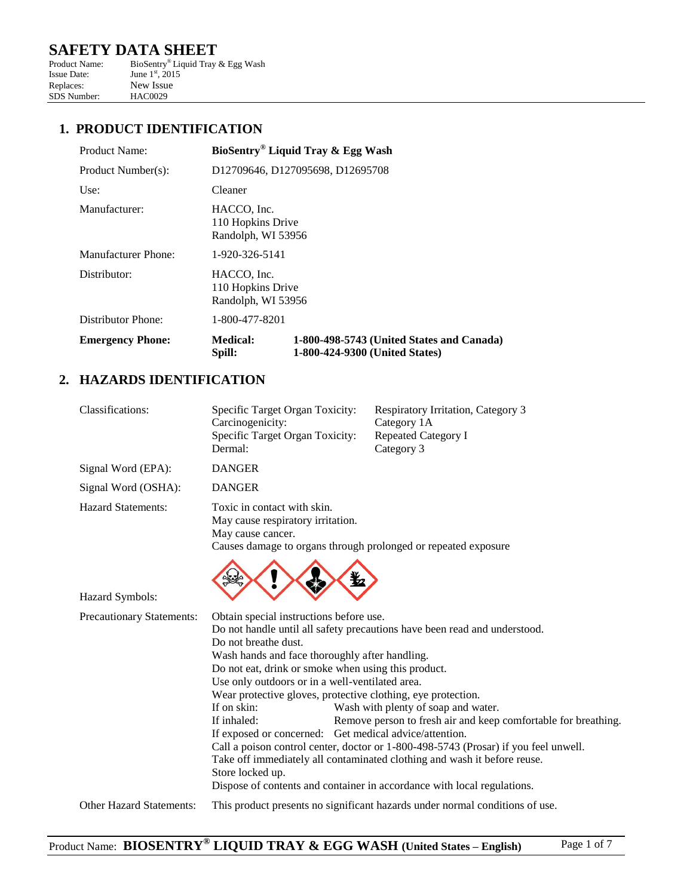# **SAFETY DATA SHEET**<br>Product Name: BioSentry® Liquid Tray

Product Name: BioSentry® Liquid Tray & Egg Wash Issue Date: June  $1<sup>st</sup>$ , 2015 Replaces: New Issue<br>SDS Number: HAC0029 SDS Number:

#### **1. PRODUCT IDENTIFICATION**

| Product Name:           |                                                        | BioSentry <sup>®</sup> Liquid Tray & Egg Wash                               |
|-------------------------|--------------------------------------------------------|-----------------------------------------------------------------------------|
| Product Number(s):      |                                                        | D12709646, D127095698, D12695708                                            |
| Use:                    | Cleaner                                                |                                                                             |
| Manufacturer:           | HACCO, Inc.<br>110 Hopkins Drive<br>Randolph, WI 53956 |                                                                             |
| Manufacturer Phone:     | 1-920-326-5141                                         |                                                                             |
| Distributor:            | HACCO, Inc.<br>110 Hopkins Drive<br>Randolph, WI 53956 |                                                                             |
| Distributor Phone:      | 1-800-477-8201                                         |                                                                             |
| <b>Emergency Phone:</b> | <b>Medical:</b><br>Spill:                              | 1-800-498-5743 (United States and Canada)<br>1-800-424-9300 (United States) |

## **2. HAZARDS IDENTIFICATION**

| <b>Classifications:</b>         | Specific Target Organ Toxicity:<br>Carcinogenicity:<br>Specific Target Organ Toxicity:<br>Dermal:                                                                                                                                                                                                                                                                                                       | Respiratory Irritation, Category 3<br>Category 1A<br><b>Repeated Category I</b><br>Category 3                                                                                                                                                                                                                                                                                                                                    |
|---------------------------------|---------------------------------------------------------------------------------------------------------------------------------------------------------------------------------------------------------------------------------------------------------------------------------------------------------------------------------------------------------------------------------------------------------|----------------------------------------------------------------------------------------------------------------------------------------------------------------------------------------------------------------------------------------------------------------------------------------------------------------------------------------------------------------------------------------------------------------------------------|
| Signal Word (EPA):              | <b>DANGER</b>                                                                                                                                                                                                                                                                                                                                                                                           |                                                                                                                                                                                                                                                                                                                                                                                                                                  |
| Signal Word (OSHA):             | <b>DANGER</b>                                                                                                                                                                                                                                                                                                                                                                                           |                                                                                                                                                                                                                                                                                                                                                                                                                                  |
| <b>Hazard Statements:</b>       | Toxic in contact with skin.<br>May cause respiratory irritation.<br>May cause cancer.                                                                                                                                                                                                                                                                                                                   | Causes damage to organs through prolonged or repeated exposure<br>¥⊿                                                                                                                                                                                                                                                                                                                                                             |
| Hazard Symbols:                 |                                                                                                                                                                                                                                                                                                                                                                                                         |                                                                                                                                                                                                                                                                                                                                                                                                                                  |
| Precautionary Statements:       | Obtain special instructions before use.<br>Do not breathe dust.<br>Wash hands and face thoroughly after handling.<br>Do not eat, drink or smoke when using this product.<br>Use only outdoors or in a well-ventilated area.<br>Wear protective gloves, protective clothing, eye protection.<br>If on skin:<br>If inhaled:<br>If exposed or concerned: Get medical advice/attention.<br>Store locked up. | Do not handle until all safety precautions have been read and understood.<br>Wash with plenty of soap and water.<br>Remove person to fresh air and keep comfortable for breathing.<br>Call a poison control center, doctor or 1-800-498-5743 (Prosar) if you feel unwell.<br>Take off immediately all contaminated clothing and wash it before reuse.<br>Dispose of contents and container in accordance with local regulations. |
| <b>Other Hazard Statements:</b> |                                                                                                                                                                                                                                                                                                                                                                                                         | This product presents no significant hazards under normal conditions of use.                                                                                                                                                                                                                                                                                                                                                     |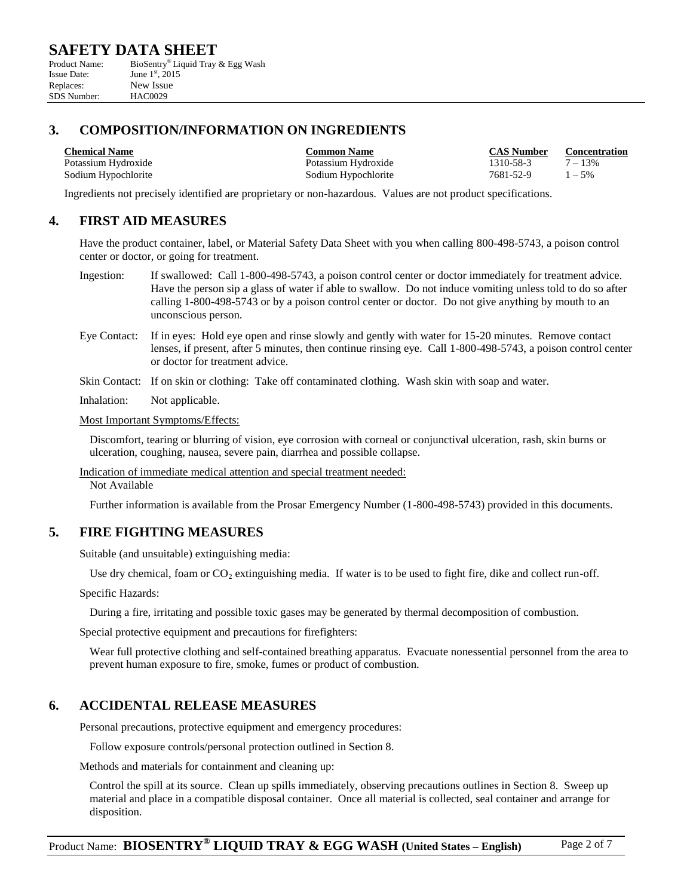| Product Name:      | BioSentry <sup>®</sup> Liquid Tray & Egg Wash |
|--------------------|-----------------------------------------------|
| <b>Issue Date:</b> | June $1^{\rm st}$ , 2015                      |
| Replaces:          | New Issue                                     |
| SDS Number:        | <b>HAC0029</b>                                |

## **3. COMPOSITION/INFORMATION ON INGREDIENTS**

Potassium Hydroxide Potassium Hydroxide 1310-58-3 7 – 13% Sodium Hypochlorite 1981-52-9 1-5%

**Chemical Name Common Name CAS Number Concentration**

Ingredients not precisely identified are proprietary or non-hazardous. Values are not product specifications.

#### **4. FIRST AID MEASURES**

Have the product container, label, or Material Safety Data Sheet with you when calling 800-498-5743, a poison control center or doctor, or going for treatment.

- Ingestion: If swallowed: Call 1-800-498-5743, a poison control center or doctor immediately for treatment advice. Have the person sip a glass of water if able to swallow. Do not induce vomiting unless told to do so after calling 1-800-498-5743 or by a poison control center or doctor. Do not give anything by mouth to an unconscious person.
- Eye Contact: If in eyes: Hold eye open and rinse slowly and gently with water for 15-20 minutes. Remove contact lenses, if present, after 5 minutes, then continue rinsing eye. Call 1-800-498-5743, a poison control center or doctor for treatment advice.
- Skin Contact: If on skin or clothing: Take off contaminated clothing. Wash skin with soap and water.
- Inhalation: Not applicable.

Most Important Symptoms/Effects:

Discomfort, tearing or blurring of vision, eye corrosion with corneal or conjunctival ulceration, rash, skin burns or ulceration, coughing, nausea, severe pain, diarrhea and possible collapse.

Indication of immediate medical attention and special treatment needed:

Not Available

Further information is available from the Prosar Emergency Number (1-800-498-5743) provided in this documents.

#### **5. FIRE FIGHTING MEASURES**

Suitable (and unsuitable) extinguishing media:

Use dry chemical, foam or  $CO_2$  extinguishing media. If water is to be used to fight fire, dike and collect run-off.

Specific Hazards:

During a fire, irritating and possible toxic gases may be generated by thermal decomposition of combustion.

Special protective equipment and precautions for firefighters:

Wear full protective clothing and self-contained breathing apparatus. Evacuate nonessential personnel from the area to prevent human exposure to fire, smoke, fumes or product of combustion.

#### **6. ACCIDENTAL RELEASE MEASURES**

Personal precautions, protective equipment and emergency procedures:

Follow exposure controls/personal protection outlined in Section 8.

Methods and materials for containment and cleaning up:

Control the spill at its source. Clean up spills immediately, observing precautions outlines in Section 8. Sweep up material and place in a compatible disposal container. Once all material is collected, seal container and arrange for disposition.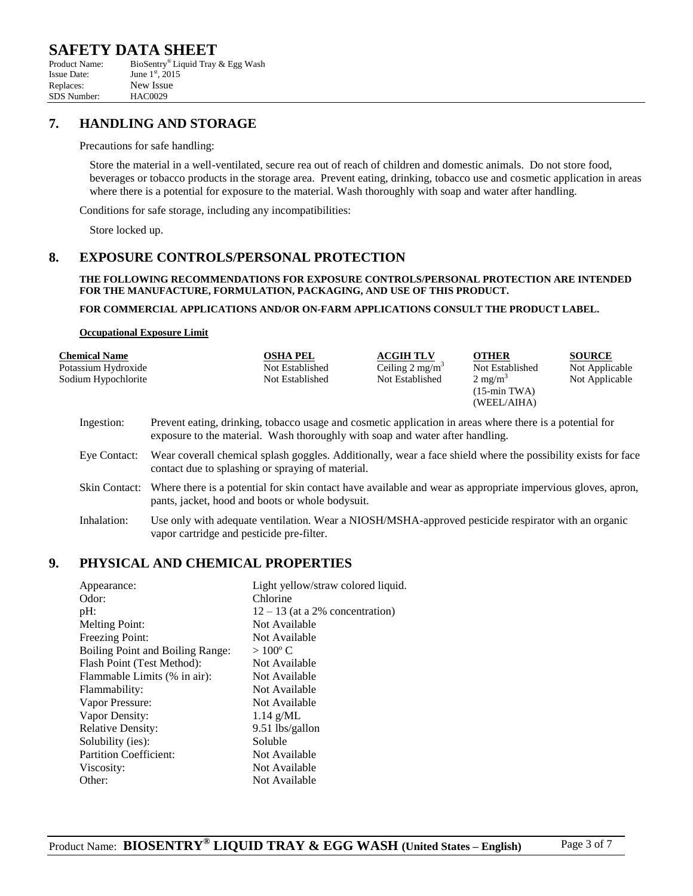| Product Name:      | BioSentry <sup>®</sup> Liquid Tray & Egg Wash |
|--------------------|-----------------------------------------------|
| <b>Issue Date:</b> | June $1^{\rm st}$ , 2015                      |
| Replaces:          | New Issue                                     |
| SDS Number:        | HAC0029                                       |

#### **7. HANDLING AND STORAGE**

#### Precautions for safe handling:

Store the material in a well-ventilated, secure rea out of reach of children and domestic animals. Do not store food, beverages or tobacco products in the storage area. Prevent eating, drinking, tobacco use and cosmetic application in areas where there is a potential for exposure to the material. Wash thoroughly with soap and water after handling.

Conditions for safe storage, including any incompatibilities:

Store locked up.

#### **8. EXPOSURE CONTROLS/PERSONAL PROTECTION**

#### **THE FOLLOWING RECOMMENDATIONS FOR EXPOSURE CONTROLS/PERSONAL PROTECTION ARE INTENDED FOR THE MANUFACTURE, FORMULATION, PACKAGING, AND USE OF THIS PRODUCT.**

#### **FOR COMMERCIAL APPLICATIONS AND/OR ON-FARM APPLICATIONS CONSULT THE PRODUCT LABEL.**

#### **Occupational Exposure Limit**

| <b>Chemical Name</b><br>Potassium Hydroxide<br>Sodium Hypochlorite | <b>OSHA PEL</b><br>Not Established<br>Not Established                                                                                                                                     | <b>ACGIH TLV</b><br>Ceiling $2 \text{ mg/m}^3$<br>Not Established | <b>OTHER</b><br>Not Established<br>$2 \text{ mg/m}^3$<br>$(15 - min TWA)$<br>(WEEL/AIHA) | <b>SOURCE</b><br>Not Applicable<br>Not Applicable |
|--------------------------------------------------------------------|-------------------------------------------------------------------------------------------------------------------------------------------------------------------------------------------|-------------------------------------------------------------------|------------------------------------------------------------------------------------------|---------------------------------------------------|
| Ingestion:                                                         | Prevent eating, drinking, tobacco usage and cosmetic application in areas where there is a potential for<br>exposure to the material. Wash thoroughly with soap and water after handling. |                                                                   |                                                                                          |                                                   |
| Eye Contact:                                                       | Wear coverall chemical splash goggles. Additionally, wear a face shield where the possibility exists for face<br>contact due to splashing or spraying of material.                        |                                                                   |                                                                                          |                                                   |
| Skin Contact:                                                      | Where there is a potential for skin contact have available and wear as appropriate impervious gloves, apron,<br>pants, jacket, hood and boots or whole bodysuit.                          |                                                                   |                                                                                          |                                                   |
| Inhalation:                                                        | Use only with adequate ventilation. Wear a NIOSH/MSHA-approved pesticide respirator with an organic                                                                                       |                                                                   |                                                                                          |                                                   |

#### **9. PHYSICAL AND CHEMICAL PROPERTIES**

|                                         | Light yellow/straw colored liquid. |
|-----------------------------------------|------------------------------------|
|                                         |                                    |
|                                         | Chlorine                           |
| $pH$ :                                  | $12 - 13$ (at a 2% concentration)  |
| <b>Melting Point:</b>                   | Not Available                      |
| Freezing Point:                         | Not Available                      |
| <b>Boiling Point and Boiling Range:</b> | $>100^{\circ}$ C                   |
| Flash Point (Test Method):              | Not Available                      |
| Flammable Limits (% in air):            | Not Available                      |
| Flammability:                           | Not Available                      |
| Vapor Pressure:                         | Not Available                      |
| Vapor Density:                          | $1.14$ g/ML                        |
| <b>Relative Density:</b>                | 9.51 lbs/gallon                    |
| Solubility (ies):                       | Soluble                            |
| <b>Partition Coefficient:</b>           | Not Available                      |
| Viscosity:                              | Not Available                      |
| Other:                                  | Not Available                      |
|                                         | Appearance:<br>Odor:               |

vapor cartridge and pesticide pre-filter.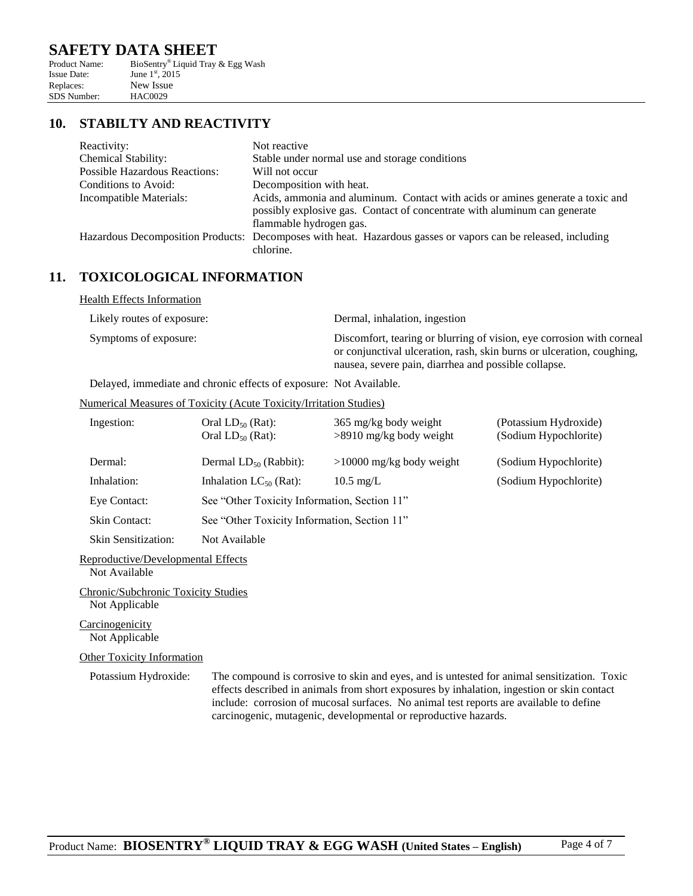| Product Name:      | BioSentry <sup>®</sup> Liquid Tray & Egg Wash |
|--------------------|-----------------------------------------------|
| <b>Issue Date:</b> | June $1^{\rm st}$ , 2015                      |
| Replaces:          | New Issue                                     |
| <b>SDS</b> Number: | <b>HAC0029</b>                                |

#### **10. STABILTY AND REACTIVITY**

| Reactivity:                          | Not reactive                                                                                                                                                                           |
|--------------------------------------|----------------------------------------------------------------------------------------------------------------------------------------------------------------------------------------|
| Chemical Stability:                  | Stable under normal use and storage conditions                                                                                                                                         |
| <b>Possible Hazardous Reactions:</b> | Will not occur                                                                                                                                                                         |
| Conditions to Avoid:                 | Decomposition with heat.                                                                                                                                                               |
| Incompatible Materials:              | Acids, ammonia and aluminum. Contact with acids or amines generate a toxic and<br>possibly explosive gas. Contact of concentrate with aluminum can generate<br>flammable hydrogen gas. |
|                                      | Hazardous Decomposition Products: Decomposes with heat. Hazardous gasses or vapors can be released, including                                                                          |
|                                      | chlorine.                                                                                                                                                                              |

#### **11. TOXICOLOGICAL INFORMATION**

Health Effects Information Likely routes of exposure: Dermal, inhalation, ingestion

Symptoms of exposure: Discomfort, tearing or blurring of vision, eye corrosion with corneal or conjunctival ulceration, rash, skin burns or ulceration, coughing, nausea, severe pain, diarrhea and possible collapse.

Delayed, immediate and chronic effects of exposure: Not Available.

#### Numerical Measures of Toxicity (Acute Toxicity/Irritation Studies)

| Ingestion:                 | Oral $LD_{50}$ (Rat):<br>Oral $LD_{50}$ (Rat): | 365 mg/kg body weight<br>$>8910$ mg/kg body weight | (Potassium Hydroxide)<br>(Sodium Hypochlorite) |  |
|----------------------------|------------------------------------------------|----------------------------------------------------|------------------------------------------------|--|
| Dermal:                    | Dermal $LD_{50}$ (Rabbit):                     | $>10000$ mg/kg body weight                         | (Sodium Hypochlorite)                          |  |
| Inhalation:                | Inhalation $LC_{50}$ (Rat):                    | $10.5 \text{ mg/L}$                                | (Sodium Hypochlorite)                          |  |
| Eye Contact:               |                                                | See "Other Toxicity Information, Section 11"       |                                                |  |
| <b>Skin Contact:</b>       |                                                | See "Other Toxicity Information, Section 11"       |                                                |  |
| <b>Skin Sensitization:</b> | Not Available                                  |                                                    |                                                |  |

Reproductive/Developmental Effects

Not Available

Chronic/Subchronic Toxicity Studies Not Applicable

Carcinogenicity Not Applicable

#### Other Toxicity Information

Potassium Hydroxide: The compound is corrosive to skin and eyes, and is untested for animal sensitization. Toxic effects described in animals from short exposures by inhalation, ingestion or skin contact include: corrosion of mucosal surfaces. No animal test reports are available to define carcinogenic, mutagenic, developmental or reproductive hazards.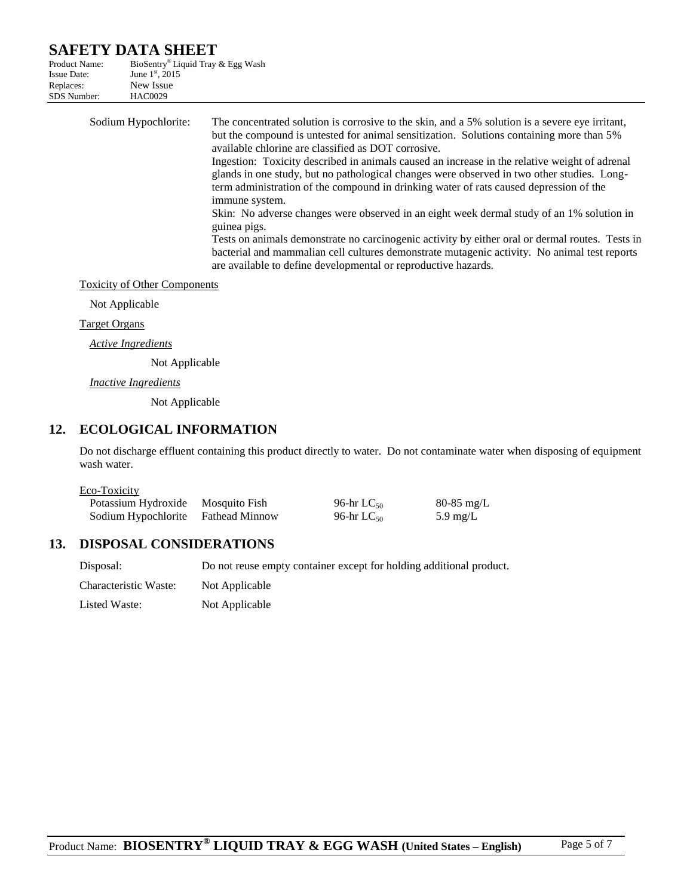| Product Name:      | BioSentry® Liquid Tray & Egg Wash |
|--------------------|-----------------------------------|
| <b>Issue Date:</b> | June $1^{\rm st}$ , 2015          |
| Replaces:          | New Issue                         |
| <b>SDS</b> Number: | <b>HAC0029</b>                    |
|                    |                                   |

| glands in one study, but no pathological changes were observed in two other studies. Long-<br>term administration of the compound in drinking water of rats caused depression of the<br>immune system.                                                                                                                                                                         |
|--------------------------------------------------------------------------------------------------------------------------------------------------------------------------------------------------------------------------------------------------------------------------------------------------------------------------------------------------------------------------------|
| Skin: No adverse changes were observed in an eight week dermal study of an 1% solution in<br>guinea pigs.<br>Tests on animals demonstrate no carcinogenic activity by either oral or dermal routes. Tests in<br>bacterial and mammalian cell cultures demonstrate mutagenic activity. No animal test reports<br>are available to define developmental or reproductive hazards. |
|                                                                                                                                                                                                                                                                                                                                                                                |

Toxicity of Other Components

Not Applicable

#### Target Organs

*Active Ingredients*

Not Applicable

*Inactive Ingredients*

Not Applicable

## **12. ECOLOGICAL INFORMATION**

Do not discharge effluent containing this product directly to water. Do not contaminate water when disposing of equipment wash water.

| Eco-Toxicity |  |
|--------------|--|
|              |  |
|              |  |

| Potassium Hydroxide | Mosquito Fish  | 96-hr $LC_{50}$ | $80-85$ mg/L |
|---------------------|----------------|-----------------|--------------|
| Sodium Hypochlorite | Fathead Minnow | 96-hr $LC_{50}$ | 5.9 mg/L     |

## **13. DISPOSAL CONSIDERATIONS**

| Disposal:             | Do not reuse empty container except for holding additional product. |
|-----------------------|---------------------------------------------------------------------|
| Characteristic Waste: | Not Applicable                                                      |
| Listed Waste:         | Not Applicable                                                      |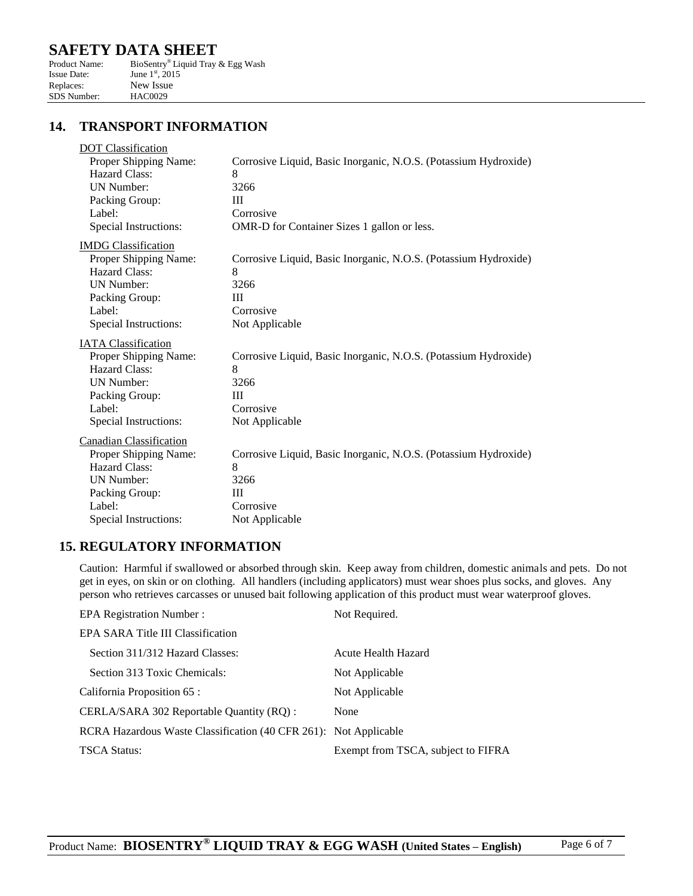| Product Name:      | BioSentry® Liquid Tray & Egg Wash |
|--------------------|-----------------------------------|
| <b>Issue Date:</b> | June $1^{\rm st}$ , 2015          |
| Replaces:          | New Issue                         |
| <b>SDS</b> Number: | <b>HAC0029</b>                    |

#### **14. TRANSPORT INFORMATION**

| <b>DOT</b> Classification      |                                                                 |
|--------------------------------|-----------------------------------------------------------------|
| Proper Shipping Name:          | Corrosive Liquid, Basic Inorganic, N.O.S. (Potassium Hydroxide) |
| Hazard Class:                  | 8                                                               |
| <b>UN Number:</b>              | 3266                                                            |
| Packing Group:                 | Ш                                                               |
| Label:                         | Corrosive                                                       |
| Special Instructions:          | OMR-D for Container Sizes 1 gallon or less.                     |
| <b>IMDG</b> Classification     |                                                                 |
| Proper Shipping Name:          | Corrosive Liquid, Basic Inorganic, N.O.S. (Potassium Hydroxide) |
| Hazard Class:                  | 8                                                               |
| <b>UN Number:</b>              | 3266                                                            |
| Packing Group:                 | III                                                             |
| Label:                         | Corrosive                                                       |
| Special Instructions:          | Not Applicable                                                  |
| <b>IATA</b> Classification     |                                                                 |
| Proper Shipping Name:          | Corrosive Liquid, Basic Inorganic, N.O.S. (Potassium Hydroxide) |
| Hazard Class:                  | 8                                                               |
| <b>UN Number:</b>              | 3266                                                            |
| Packing Group:                 | Ш                                                               |
| Label:                         | Corrosive                                                       |
| Special Instructions:          | Not Applicable                                                  |
| <b>Canadian Classification</b> |                                                                 |
| Proper Shipping Name:          | Corrosive Liquid, Basic Inorganic, N.O.S. (Potassium Hydroxide) |
| Hazard Class:                  | 8                                                               |
| <b>UN Number:</b>              | 3266                                                            |
| Packing Group:                 | III                                                             |
| Label:                         | Corrosive                                                       |
| Special Instructions:          | Not Applicable                                                  |
|                                |                                                                 |

#### **15. REGULATORY INFORMATION**

Caution: Harmful if swallowed or absorbed through skin. Keep away from children, domestic animals and pets. Do not get in eyes, on skin or on clothing. All handlers (including applicators) must wear shoes plus socks, and gloves. Any person who retrieves carcasses or unused bait following application of this product must wear waterproof gloves.

| <b>EPA Registration Number:</b>                                  | Not Required.                      |
|------------------------------------------------------------------|------------------------------------|
| EPA SARA Title III Classification                                |                                    |
| Section 311/312 Hazard Classes:                                  | Acute Health Hazard                |
| Section 313 Toxic Chemicals:                                     | Not Applicable                     |
| California Proposition 65 :                                      | Not Applicable                     |
| CERLA/SARA 302 Reportable Quantity (RQ) :                        | None                               |
| RCRA Hazardous Waste Classification (40 CFR 261): Not Applicable |                                    |
| TSCA Status:                                                     | Exempt from TSCA, subject to FIFRA |